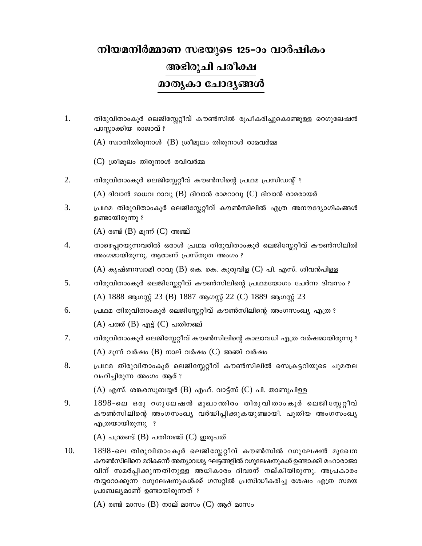## നിയമനിർമ്മാണ സഭയുടെ 125–ാം വാർഷികം

## അഭിരുചി പരീക്ഷ

മാതൃകാ ചോദൃങ്ങൾ

- 1. തിരുവിതാംകൂർ ലെജിസ്റ്റേറ്റീവ് കൗൺസിൽ രൂപീകരിച്ചുകൊണ്ടുള്ള റെഗുലേഷൻ പാസ്സാക്കിയ രാജാവ് ?
	- $(A)$  സ്വാതിതിരുനാൾ  $(B)$  ശ്രീമൂലം തിരുനാൾ രാമവർമ്മ
	- (C) ശ്രീമുലം തിരുനാൾ രവിവർമ്മ
- 2. തിരുവിതാംകൂർ ലെജിസ്ലേറ്റീവ് കൗൺസിന്റെ പ്രഥമ പ്രസിഡന്റ് ?
	- $(A)$  ദിവാൻ മാധവ റാവു  $(B)$  ദിവാൻ രാമറാവു  $(C)$  ദിവാൻ രാമരായർ
- 3. പ്രഥമ തിരുവിതാംകൂർ ലെജിസ്ലേറ്റീവ് കൗൺസിലിൽ എത്ര അനൗദ്യോഗികങ്ങൾ ഉണ്ടായിരുന്നു ?

 $(A)$  രണ്ട്  $(B)$  മുന്ന്  $(C)$  അഞ്ച്

4. താഴെപ്പറയുന്നവരിൽ ഒരാൾ പ്രഥമ തിരുവിതാംകൂർ ലെജിസ്റ്റേറ്റീവ് കൗൺസിലിൽ അംഗമായിരുന്നു. ആരാണ് പ്രസ്തുത അംഗം ?

 $(A)$  കൃഷ്ണസ്വാമി റാവു  $(B)$  കെ. കെ. കുരുവിള  $(C)$  പി. എസ്. ശിവൻപിള്ള

- 5. തിരുവിതാംകൂർ ലെജിസ്ലേറ്റീവ് കൗൺസിലിന്റെ പ്രഥമയോഗം ചേർന്ന ദിവസം ? (A) 1888 ആഗസ്റ്റ് 23 (B) 1887 ആഗസ്റ്റ് 22 (C) 1889 ആഗസ്റ്റ് 23
- 6. പ്രഥമ തിരുവിതാംകൂർ ലെജിസ്ലേറ്റീവ് കൗൺസിലിന്റെ അംഗസംഖ്യ എത്ര ?

 $(A)$  പത്ത്  $(B)$  എട്ട്  $(C)$  പതിനഞ്ച്

- $7.$ തിരുവിതാംകൂർ ലെജിസ്റ്റേറ്റീവ് കൗൺസിലിന്റെ കാലാവധി എത്ര വർഷമായിരുന്നു ?  $(A)$  മൂന്ന് വർഷം  $(B)$  നാല് വർഷം  $(C)$  അഞ്ച് വർഷം
- 8. പ്രഥമ തിരുവിതാംകൂർ ലെജിസ്ലേറ്റീവ് കൗൺസിലിൽ സെക്രട്ടറിയുടെ ചുമതല വഹിച്ചിരുന്ന അംഗം ആര് ?

 $(A)$  എസ്. ശങ്കരസുബയ്യർ (B) എഫ്. വാട്ട്സ് (C) പി. താണുപിള്ള

9. 1898-ലെ ഒരു റഗുലേഷൻ മുഖാന്തിരം തിരുവിതാംകൂർ ലെജിസ്ലേറ്റീവ് കൗൺസിലിന്റെ അംഗസംഖ്യ വർദ്ധിപ്പിക്കുകയുണ്ടായി. പുതിയ അംഗസംഖ്യ എത്രയായിരുന്നു ?

 $(A)$  പന്ത്രണ്ട്  $(B)$  പതിനഞ്ച്  $(C)$  ഇരുപത്

10. 1898-ലെ തിരുവിതാംകൂർ ലെജിസ്ലേറ്റീവ് കൗൺസിൽ റഗുലേഷൻ മുഖേന കൗൺസിലിനെ മറികടന്ന് അത്യാവശ്യ ഘട്ടങ്ങളിൽ റഗുലേഷനുകൾ ഉണ്ടാക്കി മഹാരാജാ വിന് സമർപ്പിക്കുന്നതിനുള്ള അധികാരം ദിവാന് നല്കിയിരുന്നു. അപ്രകാരം തയ്യാറാക്കുന്ന റഗുലേഷനുകൾക്ക് ഗസറ്റിൽ പ്രസിദ്ധീകരിച്ച ശേഷം എത്ര സമയ പ്രാബല്യമാണ് ഉണ്ടായിരുന്നത് ?

 $(A)$  രണ്ട് മാസം  $(B)$  നാല് മാസം  $(C)$  ആറ് മാസം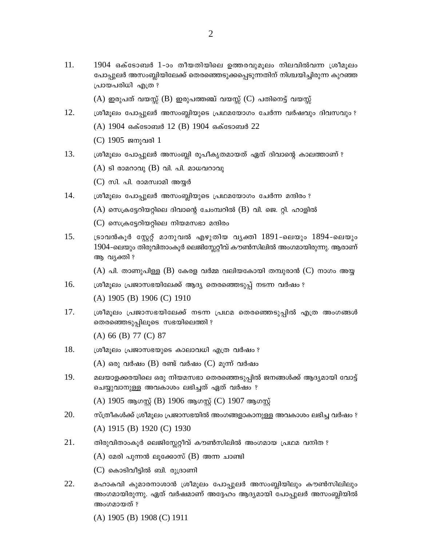11. 1904 ഒക്ടോബർ 1-ാം തീയതിയിലെ ഉത്തരവുമൂലം നിലവിൽവന്ന ശ്രീമൂലം പോപ്പുലർ അസംബ്ലിയിലേക്ക് തെരഞ്ഞെടുക്കപ്പെടുന്നതിന് നിശ്ചയിച്ചിരുന്ന കുറഞ്ഞ പ്രായപരിധി എത്ര ?

 $(A)$  ഇരുപത് വയസ്സ്  $(B)$  ഇരുപത്തഞ്ച് വയസ്സ്  $(C)$  പതിനെട്ട് വയസ്സ്

- 12. ശ്രീമൂലം പോപ്പുലർ അസംബ്ലിയുടെ പ്രഥമയോഗം ചേർന്ന വർഷവും ദിവസവും ? (A) 1904 ഒക്ടോബർ 12 (B) 1904 ഒക്ടോബർ 22
	- (C) 1905 ജനുവരി 1
- 13. ശ്രീമൂലം പോപ്പുലർ അസംബ്ലി രൂപീകൃതമായത് ഏത് ദിവാന്റെ കാലത്താണ് ?
	- $(A)$  ടി രാമറാവു  $(B)$  വി. പി. മാധവറാവു
	- $(C)$  സി. പി. രാമസ്വാമി അയ്യർ
- 14. ശ്രീമൂലം പോപ്പുലർ അസംബ്ലിയുടെ പ്രഥമയോഗം ചേർന്ന മന്ദിരം ?
	- $(A)$  സെക്രട്ടേറിയറ്റിലെ ദിവാന്റെ ചേംമ്പറിൽ  $(B)$  വി. ജെ. റ്റി. ഹാളിൽ
	- $(C)$  സെക്രട്ടേറിയറ്റിലെ നിയമസഭാ മന്ദിരം
- $15.$ ട്രാവൻകൂർ സ്റ്റേറ്റ് മാനുവൽ എഴുതിയ വ്യക്തി 1891-ലെയും 1894-ലെയും 1904-ലെയും തിരുവിതാംകൂർ ലെജിസ്കേറ്റീവ് കൗൺസിലിൽ അംഗമായിരുന്നു. ആരാണ് ആ വ്യക്തി ?

 $(A)$  പി. താണുപിള്ള  $(B)$  കേരള വർമ്മ വലിയകോയി തമ്പുരാൻ (C) നാഗം അയു

16. ശ്രീമൂലം പ്രജാസഭയിലേക്ക് ആദ്യ തെരഞ്ഞെടുപ്പ് നടന്ന വർഷം ?

(A) 1905 (B) 1906 (C) 1910

17. ശ്രീമുലം പ്രജാസഭയിലേക്ക് നടന്ന പ്രഥമ തെരഞ്ഞെടുപ്പിൽ എത്ര അംഗങ്ങൾ തെരഞ്ഞെടുപ്പിലൂടെ സഭയിലെത്തി ?

 $(A)$  66 (B) 77 (C) 87

18. ശ്രീമൂലം പ്രജാസഭയുടെ കാലാവധി എത്ര വർഷം ?

 $(A)$  ഒരു വർഷം  $(B)$  രണ്ട് വർഷം  $(C)$  മൂന്ന് വർഷം

19. മലയാളക്കരയിലെ ഒരു നിയമസഭാ തെരഞ്ഞെടുപ്പിൽ ജനങ്ങൾക്ക് ആദ്യമായി വോട്ട് ചെയ്യുവാനുള്ള അവകാശം ലഭിച്ചത് ഏത് വർഷം ?

(A) 1905 ആഗസ്റ്റ് (B) 1906 ആഗസ്റ്റ് (C) 1907 ആഗസ്റ്റ്

- 20. സ്ത്രീകൾക്ക് ശ്രീമുലം പ്രജാസഭയിൽ അംഗങ്ങളാകാനുള്ള അവകാശം ലഭിച്ച വർഷം ? (A) 1915 (B) 1920 (C) 1930
- 21. തിരുവിതാംകൂർ ലെജിസ്ലേറ്റീവ് കൗൺസിലിൽ അംഗമായ പ്രഥമ വനിത ?
	- $(A)$  മേരി പുന്നൻ ലൂക്കോസ്  $(B)$  അന്ന ചാണ്ടി
	- $(C)$  കൊടിവീട്ടിൽ ബി. രുദ്രാണി
- 22. മഹാകവി കുമാരനാശാൻ ശ്രീമൂലം പോപ്പുലർ അസംബ്ലിയിലും കൗൺസിലിലും അംഗമായിരുന്നു. ഏത് വർഷമാണ് അദ്ദേഹം ആദ്യമായി പോപ്പുലർ അസംബ്ലിയിൽ അംഗമായത് ?
	- $(A)$  1905 (B) 1908 (C) 1911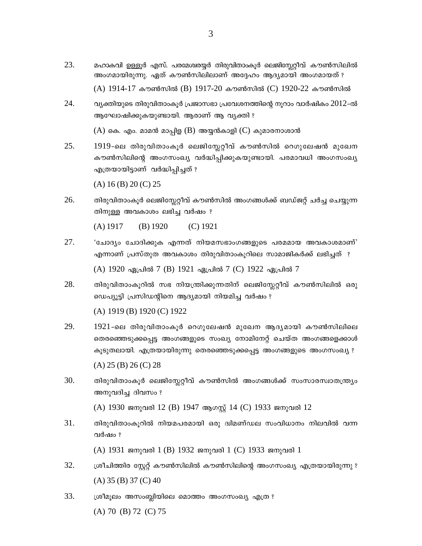- 23. മഹാകവി ഉള്ളൂർ എസ്. പരമേശ്വരയ്യർ തിരുവിതാംകൂർ ലെജിസ്ലേറ്റീവ് കൗൺസിലിൽ അംഗമായിരുന്നു. ഏത് കൗൺസിലിലാണ് അദ്ദേഹം ആദ്യമായി അംഗമായത് ?  $(A)$  1914-17 കൗൺസിൽ (B) 1917-20 കൗൺസിൽ (C) 1920-22 കൗൺസിൽ
- 24. വ്യക്തിയുടെ തിരുവിതാംകൂർ പ്രജാസഭാ പ്രവേശനത്തിന്റെ നുറാം വാർഷികം 2012-ൽ ആഘോഷിക്കുകയുണ്ടായി. ആരാണ് ആ വ്യക്തി ?

 $(A)$  കെ. എം. മാമൻ മാപ്പിള ( $B$ ) അയ്യൻകാളി ( $C$ ) കുമാരനാശാൻ

25. 1919-ലെ തിരുവിതാംകൂർ ലെജിസ്ലേറ്റീവ് കൗൺസിൽ റെഗുലേഷൻ മുഖേന കൗൺസിലിന്റെ അംഗസംഖ്യ വർദ്ധിപ്പിക്കുകയുണ്ടായി. പരമാവധി അംഗസംഖ്യ എത്രയായിട്ടാണ് വർദ്ധിപ്പിച്ചത് ?

 $(A) 16 (B) 20 (C) 25$ 

26. തിരുവിതാംകൂർ ലെജിസ്ലേറ്റീവ് കൗൺസിൽ അംഗങ്ങൾക്ക് ബഡ്ജറ്റ് ചർച്ച ചെയ്യുന്ന തിനുള്ള അവകാശം ലഭിച്ച വർഷം ?

 $(A)$  1917  $(B)$  1920  $(C)$  1921

- 27. 'ചോദ്യം ചോദിക്കുക എന്നത് നിയമസഭാംഗങ്ങളുടെ പരമമായ അവകാശമാണ്' എന്നാണ് പ്രസ്തുത അവകാശം തിരുവിതാംകൂറിലെ സാമാജികർക്ക് ലഭിച്ചത് ? (A) 1920 ഏപ്രിൽ 7 (B) 1921 ഏപ്രിൽ 7 (C) 1922 ഏപ്രിൽ 7
- 28. തിരുവിതാംകൂറിൽ സഭ നിയന്ത്രിക്കുന്നതിന് ലെജിസ്റ്റേറ്റീവ് കൗൺസിലിൽ ഒരു ഡെപ്യുട്ടി പ്രസിഡന്റിനെ ആദ്യമായി നിയമിച്ച വർഷം ?

(A) 1919 (B) 1920 (C) 1922

- 29. 1921-ലെ തിരുവിതാംകൂർ റെഗുലേഷൻ മുഖേന ആദ്യമായി കൗൺസിലിലെ തെരഞ്ഞെടുക്കപ്പെട്ട അംഗങ്ങളുടെ സംഖ്യ നോമിനേറ്റ് ചെയ്ത അംഗങ്ങളെക്കാൾ കൂടുതലായി. എത്രയായിരുന്നു തെരഞ്ഞെടുക്കപ്പെട്ട അംഗങ്ങളുടെ അംഗസംഖ്യ ?  $(A) 25 (B) 26 (C) 28$
- 30. തിരുവിതാംകൂർ ലെജിസ്ലേറ്റീവ് കൗൺസിൽ അംഗങ്ങൾക്ക് സംസാരസ്വാതന്ത്ര്യം അനുവദിച്ച ദിവസം ?

(A) 1930 ജനുവരി 12 (B) 1947 ആഗസ്റ്റ് 14 (C) 1933 ജനുവരി 12

31. തിരുവിതാംകൂറിൽ നിയമപരമായി ഒരു ദ്വിമണ്ഡല സംവിധാനം നിലവിൽ വന്ന വർഷം ?

 $(A)$  1931 ജനുവരി 1 (B) 1932 ജനുവരി 1 (C) 1933 ജനുവരി 1

- 32. ശ്രീചിത്തിര സ്റ്റേറ്റ് കൗൺസിലിൽ കൗൺസിലിന്റെ അംഗസംഖ്യ എത്രയായിരുന്നു ?  $(A)$  35 (B) 37 (C) 40
- 33. ശ്രീമുലം അസംബ്ലിയിലെ മൊത്തം അംഗസംഖ്യ എത്ര ?  $(A) 70$  (B) 72 (C) 75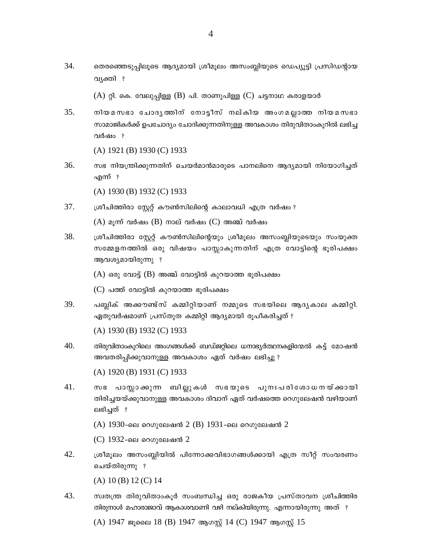$(A)$  റ്റി. കെ. വേലുപ്പിള്ള  $(B)$  പി. താണുപിള്ള  $(C)$  ചട്ടനാഥ കരാളയാർ

35. നിയമസഭാ ചോദൃത്തിന് നോട്ടീസ് നല്കിയ അംഗമല്ലാത്ത നിയമസഭാ സാമാജികർക്ക് ഉപചോദ്യം ചോദിക്കുന്നതിനുള്ള അവകാശം തിരുവിതാംകൂറിൽ ലഭിച്ച വർഷം ?

 $(A)$  1921 (B) 1930 (C) 1933

36. സഭ നിയന്ത്രിക്കുന്നതിന് ചെയർമാൻമാരുടെ പാനലിനെ ആദ്യമായി നിയോഗിച്ചത് എന്ന് ?

(A) 1930 (B) 1932 (C) 1933

37. ശ്രീചിത്തിരാ സ്റ്റേറ്റ് കൗൺസിലിന്റെ കാലാവധി എത്ര വർഷം ?

 $(A)$  മൂന്ന് വർഷം  $(B)$  നാല് വർഷം  $(C)$  അഞ്ച് വർഷം

38. ശ്രീചിത്തിരാ സ്റ്റേറ്റ് കൗൺസിലിന്റെയും ശ്രീമൂലം അസംബ്ലിയുടെയും സംയുക്ത സമ്മേളനത്തിൽ ഒരു വിഷയം പാസ്സാകുന്നതിന് എത്ര വോട്ടിന്റെ ഭൂരിപക്ഷം ആവശ്യമായിരുന്നു ?

 $(A)$  ഒരു വോട്ട്  $(B)$  അഞ്ച് വോട്ടിൽ കുറയാത്ത ഭൂരിപക്ഷം

(C) പത്ത് വോട്ടിൽ കുറയാത്ത ഭൂരിപക്ഷം

39. പബ്ലിക് അക്കൗണ്ട്സ് കമ്മിറ്റിയാണ് നമ്മുടെ സഭയിലെ ആദൃകാല കമ്മിറ്റി. ഏതുവർഷമാണ് പ്രസ്തുത കമ്മിറ്റി ആദ്യമായി രൂപീകരിച്ചത് ?

 $(A)$  1930 (B) 1932 (C) 1933

40. തിരുവിതാംകൂറിലെ അംഗങ്ങൾക്ക് ബഡ്ജറ്റിലെ ധനാഭ്യർത്ഥനകളിന്മേൽ കട്ട് മോഷൻ അവതരിപ്പിക്കുവാനുള്ള അവകാശം ഏത് വർഷം ലഭിച്ചു ?

(A) 1920 (B) 1931 (C) 1933

41. സഭ പാസ്സാക്കുന്ന ബില്ലുകൾ സഭയുടെ പുനഃപരിശോധനയ്ക്കായി തിരിച്ചയയ്ക്കുവാനുള്ള അവകാശം ദിവാന് ഏത് വർഷത്തെ റെഗുലേഷൻ വഴിയാണ് ലഭിച്ചത് ?

 $(A)$  1930-ലെ റെഗുലേഷൻ 2 (B) 1931-ലെ റെഗുലേഷൻ 2

 $(C)$  1932-ലെ റെഗുലേഷൻ 2

42. ശ്രീമൂലം അസംബ്ലിയിൽ പിന്നോക്കവിഭാഗങ്ങൾക്കായി എത്ര സീറ്റ് സംവരണം ചെയ്തിരുന്നു ?

 $(A) 10 (B) 12 (C) 14$ 

സ്വതന്ത്ര തിരുവിതാംകൂർ സംബന്ധിച്ച ഒരു രാജകീയ പ്രസ്താവന ശ്രീചിത്തിര 43. തിരുനാൾ മഹാരാജാവ് ആകാശവാണി വഴി നല്കിയിരുന്നു. എന്നായിരുന്നു അത് ?

(A) 1947 ജൂലൈ 18 (B) 1947 ആഗസ്റ്റ് 14 (C) 1947 ആഗസ്റ്റ് 15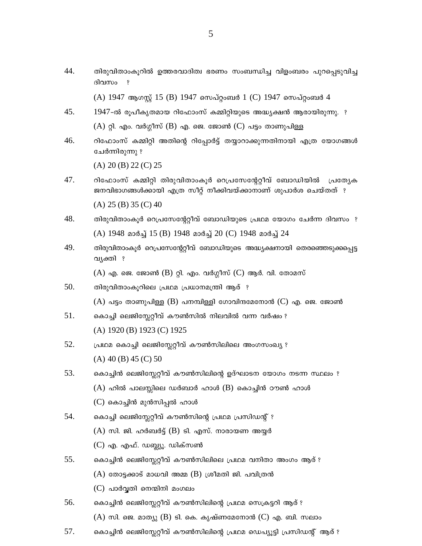44. തിരുവിതാംകൂറിൽ ഉത്തരവാദിത്വ ഭരണം സംബന്ധിച്ച വിളംബരം പുറപ്പെടുവിച്ച ദിവസം ?

(A) 1947 ആഗസ്റ്റ് 15 (B) 1947 സെപ്റ്റംബർ 1 (C) 1947 സെപ്റ്റംബർ 4

- 45. 1947-ൽ രുപീകൃതമായ റിഫോംസ് കമ്മിറ്റിയുടെ അദ്ധ്യക്ഷൻ ആരായിരുന്നു. ?  $(A)$  റ്റി. എം. വർഗ്ഗീസ്  $(B)$  എ. ജെ. ജോൺ  $(C)$  പട്ടം താണുപിള്ള
- 46. റിഫോംസ് കമ്മിറ്റി അതിന്റെ റിപ്പോർട്ട് തയ്യാറാക്കുന്നതിനായി എത്ര യോഗങ്ങൾ ചേർന്നിരുന്നു ?

 $(A)$  20  $(B)$  22  $(C)$  25

- 47. റിഫോംസ് കമ്മിറ്റി തിരുവിതാംകൂർ റെപ്രസേന്റേറ്റീവ് ബോഡിയിൽ പ്രത്യേക ജനവിഭാഗങ്ങൾക്കായി എത്ര സീറ്റ് നീക്കിവയ്ക്കാനാണ് ശുപാർശ ചെയ്തത് ?  $(A)$  25 (B) 35 (C) 40
- 48. തിരുവിതാംകൂർ റെപ്രസേന്റേറ്റീവ് ബോഡിയുടെ പ്രഥമ യോഗം ചേർന്ന ദിവസം ? (A) 1948 മാർച്ച് 15 (B) 1948 മാർച്ച് 20 (C) 1948 മാർച്ച് 24
- 49. തിരുവിതാംകുർ റെപ്രസേന്റേറ്റീവ് ബോഡിയുടെ അദ്ധ്യക്ഷനായി തെരഞ്ഞെടുക്കപ്പെട്ട വ്യക്തി ?

 $(A)$  എ. ജെ. ജോൺ (B) റ്റി. എം. വർഗ്ഗീസ് (C) ആർ. വി. തോമസ്

- 50. തിരുവിതാംകൂറിലെ പ്രഥമ പ്രധാനമന്ത്രി ആര് ?  $(A)$  പട്ടം താണുപിള്ള (B) പനമ്പിള്ളി ഗോവിന്ദമേനോൻ (C) എ. ജെ. ജോൺ
- 51. കൊച്ചി ലെജിസ്ലേറ്റീവ് കൗൺസിൽ നിലവിൽ വന്ന വർഷം ? (A)  $1920$  (B)  $1923$  (C)  $1925$
- 52. പ്രഥമ കൊച്ചി ലെജിസ്സേറ്റീവ് കൗൺസിലിലെ അംഗസംഖ്യ ?  $(A)$  40 (B) 45 (C) 50
- 53. കൊച്ചിൻ ലെജിസ്ലേറ്റീവ് കൗൺസിലിന്റെ ഉദ്ഘാടന യോഗം നടന്ന സ്ഥലം ?  $(A)$  ഹിൽ പാലസ്സിലെ ഡർബാർ ഹാൾ  $(B)$  കൊച്ചിൻ ഠൗൺ ഹാൾ (C) കൊച്ചിൻ മുൻസിപ്പൽ ഹാൾ
- 54. കൊച്ചി ലെജിസ്ലേറ്റീവ് കൗൺസിന്റെ പ്രഥമ പ്രസിഡന്റ് ?
	- $(A)$  സി. ജി. ഹർബർട്ട്  $(B)$  ടി. എസ്. നാരായണ അയ്യർ
	- $(C)$  എ. എഫ്. ഡബ്ല്യൂ. ഡിക്സൺ
- 55. കൊച്ചിൻ ലെജിസ്റ്റേറ്റീവ് കൗൺസിലിലെ പ്രഥമ വനിതാ അംഗം ആര് ?  $(A)$  തോട്ടക്കാട് മാധവി അമ്മ  $(B)$  ശ്രീമതി ജി. പവിത്രൻ
	- $(C)$  പാർവ്വതി നെന്മിനി മംഗലം
- 56. കൊച്ചിൻ ലെജിസ്ലേറ്റീവ് കൗൺസിലിന്റെ പ്രഥമ സെക്രട്ടറി ആര് ?  $(A)$  സി. ജെ. മാത്യു  $(B)$  ടി. കെ. കൃഷ്ണമേനോൻ  $(C)$  എ. ബി. സലാം
- 57. കൊച്ചിൻ ലെജിസ്ലേറ്റീവ് കൗൺസിലിന്റെ പ്രഥമ ഡെപ്യൂട്ടി പ്രസിഡന്റ് ആര് ?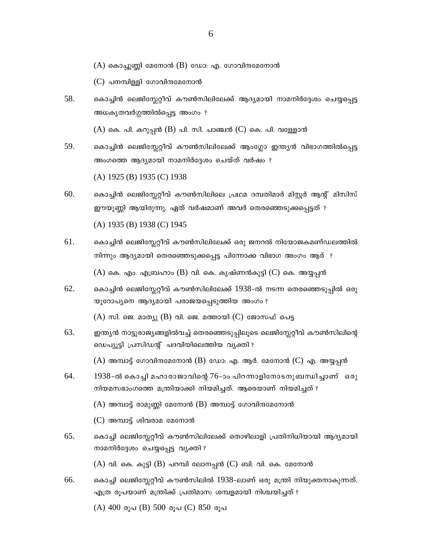$(A)$  കൊച്ചുണ്ണി മേനോൻ  $(B)$  ഡോ: എ. ഗോവിന്ദമേനോൻ

 $(C)$  പനമ്പിള്ളി ഗോവിന്ദമേനോൻ

58. കൊച്ചിൻ ലെജിസ്റ്റേറ്റീവ് കൗൺസിലിലേക്ക് ആദ്യമായി നാമനിർദ്ദേശം ചെയ്യപ്പെട്ട അധകൃതവർഗ്ഗത്തിൽപ്പെട്ട അംഗം ?

 $(A)$  കെ. പി. കറുപ്പൻ  $(B)$  പി. സി. ചാഞ്ചൻ  $(C)$  കെ. പി. വള്ളോൻ

59. കൊച്ചിൻ ലെജിസ്ലേറ്റീവ് കൗൺസിലിലേക്ക് ആംഗ്ലോ ഇന്ത്യൻ വിഭാഗത്തിൽപ്പെട്ട അംഗത്തെ ആദ്യമായി നാമനിർദ്ദേശം ചെയ്ത് വർഷം ?

(A)  $1925$  (B)  $1935$  (C)  $1938$ 

- 60. കൊച്ചിൻ ലെജിസ്ലേറ്റീവ് കൗൺസിലിലെ പ്രഥമ ദമ്പതിമാർ മിസ്റ്റർ ആന്റ് മിസിസ് ഈയുണ്ണി ആയിരുന്നു. ഏത് വർഷമാണ് അവർ തെരഞ്ഞെടുക്കപ്പെട്ടത് ? (A) 1935 (B) 1938 (C) 1945
- 61. കൊച്ചിൻ ലെജിസ്ലേറ്റീവ് കൗൺസിലിലേക്ക് ഒരു ജനറൽ നിയോജകമണ്ഡലത്തിൽ നിന്നും ആദ്യമായി തെരഞ്ഞെടുക്കപ്പെട്ട പിന്നോക്ക വിഭാഗ അംഗം ആര് ?

 $(A)$  കെ. എം. എബ്രഹാം  $(B)$  വി. കെ. കൃഷ്ണൻകുട്ടി  $(C)$  കെ. അയ്യപ്പൻ

- 62. കൊച്ചിൻ ലെജിസ്ലേറ്റീവ് കൗൺസിലിലേക്ക് 1938-ൽ നടന്ന തെരഞ്ഞെടുപ്പിൽ ഒരു യൂറോപ്യനെ ആദ്യമായി പരാജയപ്പെടുത്തിയ അംഗം ?  $(A)$  സി. ജെ. മാത്യു  $(B)$  വി. ജെ. മത്തായി  $(C)$  ജോസഫ് പെട്ട
- 63. ഇന്ത്യൻ നാട്ടുരാജ്യങ്ങളിൽവച്ച് തെരഞ്ഞെടുപ്പിലൂടെ ലെജിസ്റ്റേറ്റീവ് കൗൺസിലിന്റെ ഡെപ്യൂട്ടി പ്രസിഡന്റ് പദവിയിലെത്തിയ വ്യക്തി ?  $(A)$  അമ്പാട്ട് ഗോവിന്ദമേനോൻ (B) ഡോ: എ. ആർ. മേനോൻ (C) എ. അയ്യപ്പൻ
- 64. 1938-ൽ കൊച്ചി മഹാരാജാവിന്റെ 76-ാം പിറന്നാളിനോടനുബന്ധിച്ചാണ് ഒരു നിയമസഭാംഗത്തെ മന്ത്രിയാക്കി നിയമിച്ചത്. ആരെയാണ് നിയമിച്ചത് ?

 $(A)$  അമ്പാട്ട് രാമുണ്ണി മേനോൻ  $(B)$  അമ്പാട്ട് ഗോവിന്ദമേനോൻ

(C) അമ്പാട്ട് ശിവരാമ മേനോൻ

65. കൊച്ചി ലെജിസ്കേറ്റീവ് കൗൺസിലിലേക്ക് തൊഴിലാളി പ്രതിനിധിയായി ആദ്യമായി നാമനിർദ്ദേശം ചെയ്യപ്പെട്ട വ്യക്തി ?

 $(A)$  വി. കെ. കുട്ടി  $(B)$  പറമ്പി ലോനപ്പൻ  $(C)$  ബി. വി. കെ. മേനോൻ

66. കൊച്ചി ലെജിസ്റ്റേറ്റീവ് കൗൺസിലിൽ 1938-ലാണ് ഒരു മന്ത്രി നിയുക്തനാകുന്നത്. എത്ര രൂപയാണ് മന്ത്രിക്ക് പ്രതിമാസ ശമ്പളമായി നിശ്ചയിച്ചത് ?

 $(A)$  400 രൂപ $(B)$  500 രൂപ $(C)$  850 രൂപ

6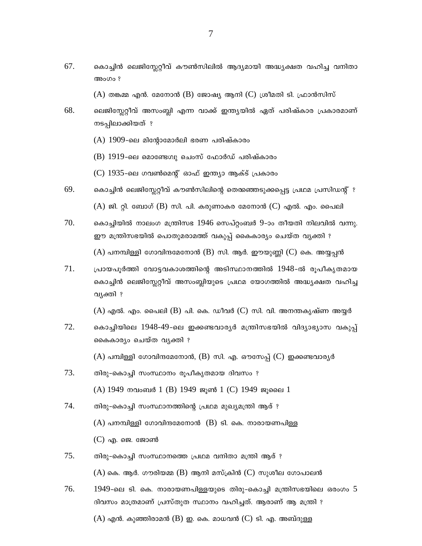67. കൊച്ചിൻ ലെജിസ്കേറ്റീവ് കൗൺസിലിൽ ആദ്യമായി അദ്ധ്യക്ഷത വഹിച്ച വനിതാ അംഗം ?

 $(A)$  തങ്കമ്മ എൻ. മേനോൻ (B) ജോഷ്യ ആനി (C) ശ്രീമതി ടി. ഫ്രാൻസിസ്

- 68. ലെജിസ്റ്റേറ്റീവ് അസംബ്ലി എന്ന വാക്ക് ഇന്ത്യയിൽ ഏത് പരിഷ്കാര പ്രകാരമാണ് നടപ്പിലാക്കിയത് ?
	- $(A)$  1909-ലെ മിന്റോമോർലി ഭരണ പരിഷ്കാരം
	- (B) 1919-ലെ മൊണ്ടേഗ്വു ചെംസ് ഫോർഡ് പരിഷ്കാരം
	- (C) 1935-ലെ ഗവൺമെന്റ് ഓഫ് ഇന്ത്യാ ആക്ട് പ്രകാരം
- 69. കൊച്ചിൻ ലെജിസ്ലേറ്റീവ് കൗൺസിലിന്റെ തെതഞ്ഞടുക്കപ്പെട്ട പ്രഥമ പ്രസിഡന്റ് ?  $(A)$  ജി. റ്റി. ബോഗ് (B) സി. പി. കരുണാകര മേനോൻ (C) എൽ. എം. പൈലി
- 70. കൊച്ചിയിൽ നാലംഗ മന്ത്രിസഭ 1946 സെപ്റ്റംബർ 9-ാം തീയതി നിലവിൽ വന്നു. ഈ മന്ത്രിസഭയിൽ പൊതുമരാമത്ത് വകുപ്പ് കൈകാര്യം ചെയ്ത വ്യക്തി ?  $(A)$  പനമ്പിള്ളി ഗോവിന്ദമേനോൻ (B) സി. ആർ. ഈയുണ്ണി (C) കെ. അയ്യപ്പൻ
- 71. പ്രായപൂർത്തി വോട്ടവകാശത്തിന്റെ അടിസ്ഥാനത്തിൽ 1948-ൽ രുപീകൃതമായ കൊച്ചിൻ ലെജിസ്ലേറ്റീവ് അസംബ്ലിയുടെ പ്രഥമ യോഗത്തിൽ അദ്ധ്യക്ഷത വഹിച്ച വ്യക്തി ?

 $(A)$  എൽ. എം. പൈലി  $(B)$  പി. കെ. ഡീവർ  $(C)$  സി. വി. അനന്തകൃഷ്ണ അയ്യർ

72. കൊച്ചിയിലെ 1948-49-ലെ ഇക്കണ്ടവാര്യർ മന്ത്രിസഭയിൽ വിദ്യാഭ്യാസ വകുപ്പ് കൈകാര്യം ചെയ്ത വ്യക്തി ?

 $(A)$  പമ്പിള്ളി ഗോവിന്ദമേനോൻ,  $(B)$  സി. എ. ഔസേപ്പ്  $(C)$  ഇക്കണ്ടവാര്യർ

- 73. തിരു-കൊച്ചി സംസ്ഥാനം രുപീകൃതമായ ദിവസം ? (A) 1949 നവംബർ 1 (B) 1949 ജൂൺ 1 (C) 1949 ജൂലൈ 1
- 74. തിരു–കൊച്ചി സംസ്ഥാനത്തിന്റെ പ്രഥമ മുഖ്യമന്ത്രി ആര് ?  $(A)$  പനമ്പിള്ളി ഗോവിന്ദമേനോൻ  $(B)$  ടി. കെ. നാരായണപിള്ള  $(C)$  എ. ജെ. ജോൺ
- 75. തിരു-കൊച്ചി സംസ്ഥാനത്തെ പ്രഥമ വനിതാ മന്ത്രി ആര് ?  $(A)$  കെ. ആർ. ഗൗരിയമ്മ (B) ആനി മസ്ക്രിൻ (C) സുശീല ഗോപാലൻ
- 76.  $1949$ -ലെ ടി. കെ. നാരായണപിള്ളയുടെ തിരു-കൊച്ചി മന്ത്രിസഭയിലെ ഒരംഗം 5 ദിവസം മാത്രമാണ് പ്രസ്തുത സ്ഥാനം വഹിച്ചത്. ആരാണ് ആ മന്ത്രി ?  $(A)$  എൻ. കുഞ്ഞിരാമൻ  $(B)$  ഇ. കെ. മാധവൻ  $(C)$  ടി. എ. അബ്ദുള്ള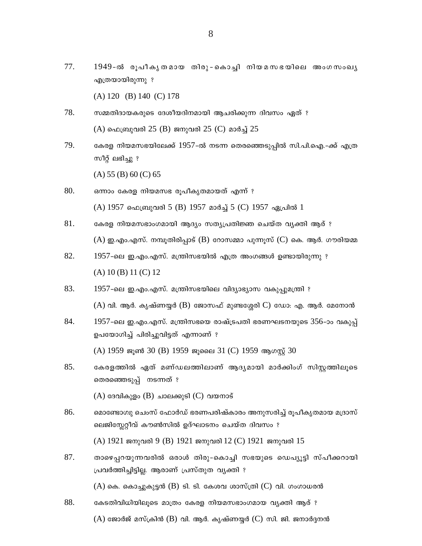77. 1949-ൽ രൂപീകൃതമായ തിരു-കൊച്ചി നിയമസഭയിലെ അംഗസംഖൃ എത്രയായിരുന്നു ?

 $(A) 120$  (B) 140 (C) 178

- 78. സമ്മതിദായകരുടെ ദേശീയദിനമായി ആചരിക്കുന്ന ദിവസം ഏത് ?  $(A)$  ഫെബ്രുവരി 25 (B) ജനുവരി 25 (C) മാർച്ച് 25
- 79. കേരള നിയമസഭയിലേക്ക് 1957-ൽ നടന്ന തെരഞ്ഞെടുപ്പിൽ സി.പി.ഐ.-ക്ക് എത്ര സീറ്റ് ലഭിച്ചു ?

 $(A) 55 (B) 60 (C) 65$ 

- 80. ഒന്നാം കേരള നിയമസഭ രൂപീകൃതമായത് എന്ന് ? (A) 1957 ഫെബ്രുവരി 5 (B) 1957 മാർച്ച് 5 (C) 1957 ഏപ്രിൽ 1
- 81. കേരള നിയമസഭാംഗമായി ആദ്യം സത്യപ്രതിജ്ഞ ചെയ്ത വ്യക്തി ആര് ?  $(A)$  ഇ.എം.എസ്. നമ്പൂതിരിപ്പാട് (B) റോസമ്മാ പുന്നൂസ് (C) കെ. ആർ. ഗൗരിയമ്മ
- 82.  $1957$ -ലെ ഇ.എം.എസ്. മന്ത്രിസഭയിൽ എത്ര അംഗങ്ങൾ ഉണ്ടായിരുന്നു ?  $(A) 10 (B) 11 (C) 12$
- 83. 1957-ലെ ഇ.എം.എസ്. മന്ത്രിസഭയിലെ വിദ്യാഭ്യാസ വകുപ്പുമന്ത്രി ?  $(A)$  വി. ആർ. കൃഷ്ണയ്യർ (B) ജോസഫ് മുണ്ടശ്ശേരി  $C$ ) ഡോ: എ. ആർ. മേനോൻ
- 84. 1957-ലെ ഇ.എം.എസ്. മന്ത്രിസഭയെ രാഷ്ട്രപതി ഭരണഘടനയുടെ 356-ാം വകുപ്പ് ഉപയോഗിച്ച് പിരിച്ചുവിട്ടത് എന്നാണ് ?

 $(A)$  1959 ജൂൺ 30 (B) 1959 ജൂലൈ 31 (C) 1959 ആഗസ്റ്റ് 30

85. കേരളത്തിൽ ഏത് മണ്ഡലത്തിലാണ് ആദൃമായി മാർക്കിംഗ് സിസ്റ്റത്തിലൂടെ തെരഞ്ഞെടുപ്പ് നടന്നത് ?

 $(A)$  ദേവികുളം  $(B)$  ചാലക്കുടി  $(C)$  വയനാട്

- 86. മൊണ്ടോഗ്വു ചെംസ് ഫോർഡ് ഭരണപരിഷ്കാരം അനുസരിച്ച് രൂപീകൃതമായ മദ്രാസ് ലെജിസ്ലേറ്റീവ് കൗൺസിൽ ഉദ്ഘാടനം ചെയ്ത ദിവസം ?  $(A)$  1921 ജനുവരി 9 (B) 1921 ജനുവരി 12 (C) 1921 ജനുവരി 15
- 87. താഴെപ്പറയുന്നവരിൽ ഒരാൾ തിരു-കൊച്ചി സഭയുടെ ഡെപ്യൂട്ടി സ്പീക്കറായി പ്രവർത്തിച്ചിട്ടില്ല. ആരാണ് പ്രസ്തുത വ്യക്തി ?  $(A)$  കെ. കൊച്ചുകുട്ടൻ (B) ടി. ടി. കേശവ ശാസ്ത്രി (C) വി. ഗംഗാധരൻ
- 88. കേടതിവിധിയിലൂടെ മാത്രം കേരള നിയമസഭാംഗമായ വ്യക്തി ആര് ?

 $(A)$  ജോർജ് മസ്ക്രിൻ  $(B)$  വി. ആർ. കൃഷ്ണയ്യർ  $(C)$  സി. ജി. ജനാർദ്ദനൻ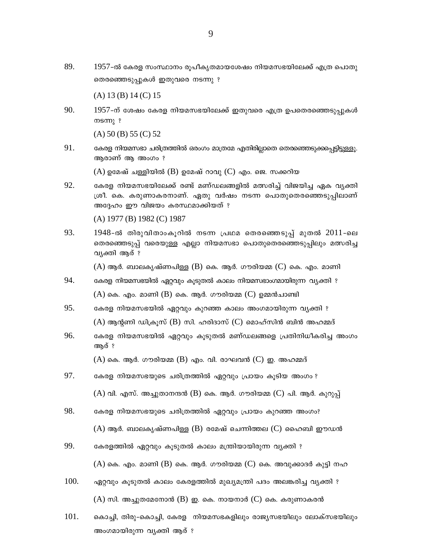$89.$  1957-ൽ കേരള സംസ്ഥാനം രൂപീകൃതമായശേഷം നിയമസഭയിലേക്ക് എത്ര പൊതു തെരഞ്ഞെടുപ്പുകൾ ഇതു<mark>വ</mark>രെ നടന്നു ?

(A) 13 (B) 14 (C) 15

 $90. \hspace{2em} 1957$ -ന് ശേഷം കേരള നിയമസഭയിലേക്ക് ഇതുവരെ എത്ര ഉപതെരഞ്ഞെടുപ്പുകൾ  $ms$ <sup>?</sup>

(A) 50 (B) 55 (C) 52

 $91.$  ഭകരള നിയമസഭാ ചരിത്രത്തിൽ ഒരംഗം മാത്രമേ എതിരില്ലാതെ തെരഞ്ഞെടുക്കപ്പെട്ടിട്ടുള്ളൂ. ആരാണ് ആ അംഗം ?

 $(A)$  ഉമേഷ് ചള്ളിയിൽ  $(B)$  ഉമേഷ് റാവു  $(C)$  എം. ജെ. സക്കറിയ

92. ഭകരള നിയമസഭയിലേക്ക് രണ്ട് മണ്ഡലങ്ങളിൽ മത്സരിച്ച് വിജയിച്ച ഏക വ്യക്തി ്രശീ. കെ. കരുണാകരനാണ്. ഏതു വർഷം നടന്ന പൊതുതെരഞ്ഞെടുപ്പിലാണ് അദ്ദേഹം ഈ വിജയം കരസ്ഥമാക്കിയത് ?

(A) 1977 (B) 1982 (C) 1987

93.  $1948$ -ൽ തിരുവിതാംകൂറിൽ നടന്ന പ്രഥമ തെരഞ്ഞെടുപ്പ് മുതൽ  $2011$ -ലെ തെരഞ്ഞെടുപ്പ് വരെയുള്ള എല്ലാ നിയമസഭാ പൊതുതെരഞ്ഞെടുപ്പിലും മത്സരിച്ച വ്യക്തി ആര് ?

 $(A)$  ആർ. ബാലകൃഷ്ണപിള്ള  $(B)$  കെ. ആർ. ഗൗരിയമ്മ  $(C)$  കെ. എം. മാണി

- $94.$  ഭകരള നിയമസഭയിൽ ഏറ്റവും കൂടുതൽ കാലം നിയമസഭാംഗമായിരുന്ന വ്യക്തി ?  $(A)$  കെ. എം. മാണി  $(B)$  കെ. ആർ. ഗൗരിയമ്മ  $(C)$  ഉമ്മൻചാണ്ടി
- $95.$  ഭകരള നിയമസഭയിൽ ഏറ്റവും കുറഞ്ഞ കാലം അംഗമായിരുന്ന വൃക്തി ?

 $(A)$  ആന്റണി ഡിക്രൂസ്  $(B)$  സി. ഹരിദാസ്  $(C)$  മൊഹ്സിൻ ബിൻ അഹമ്മദ്

 $96.$  ഭകരള നിയമസഭയിൽ ഏറ്റവും കൂടുതൽ മണ്ഡലങ്ങളെ പ്രതിനിധീകരിച്ച അംഗം അര് ?

 $(A)$  കെ. ആർ. ഗൗരിയമ്മ  $(B)$  എം. വി. രാഘവൻ  $(C)$  ഇ. അഹമ്മദ്

- $97.$  ഭകരള നിയമസഭയുടെ ചരിത്രത്തിൽ ഏറ്റവും പ്രായം കൂടിയ അംഗം ?
	- (A) വി. എസ്. അച്ചുതാനന്ദൻ (B) കെ. ആർ. ഗൗരിയമ്മ (C) പി. ആർ. കുറുപ്പ്
- 98. ഭകരള നിയമസഭയുടെ ചരിത്രത്തിൽ ഏറ്റവും പ്രായം കുറഞ്ഞ അംഗം?

(A) ആർ. ബാലകൃഷ്ണപിള്ള (B) രമേഷ് ചെന്നിത്തല (C) ഹൈബി ഈഡൻ

 $99.$  ഭകരളത്തിൽ ഏറ്റവും കൂടുതൽ കാലം മന്ത്രിയായിരുന്ന വ്യക്തി ?

 $(A)$  കെ. എം. മാണി  $(B)$  കെ. ആർ. ഗൗരിയമ്മ  $(C)$  കെ. അവുക്കാദർ കുട്ടി നഹ

- $100.$  എറ്റവും കൂടുതൽ കാലം കേരളത്തിൽ മുഖ്യമന്ത്രി പദം അലങ്കരിച്ച വ്യക്തി ?  $(A)$  സി. അച്ചുതമേനോൻ  $(B)$  ഇ. കെ. നായനാർ  $(C)$  കെ. കരുണാകരൻ
- $101.$  മകാച്ചി, തിരു-കൊച്ചി, കേരള നിയമസഭകളിലും രാജ്യസഭയിലും ലോക്സഭയിലും അംഗമായിരുന്ന വൃക്തി ആര് ?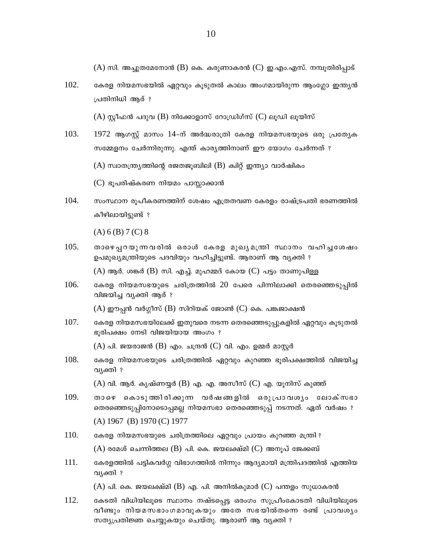$(A)$  സി. അച്ചുതമേനോൻ (B) കെ. കരുണാകരൻ (C) ഇ.എം.എസ്. നമ്പൂതിരിപ്പാട്

102. കേരള നിയമസഭയിൽ ഏറ്റവും കൂടുതൽ കാലം അംഗമായിരുന്ന ആംഗ്ലോ ഇന്ത്യൻ പ്രതിനിധി ആര് ?

 $(A)$  സ്റ്റീഫൻ പദുവ (B) നിക്കോളാസ് റോഡ്രിഗ്സ് (C) ലൂഡി ലൂയിസ്

103.  $1972$  ആഗസ്റ്റ് മാസം  $14$ -ന് അർദ്ധരാത്രി കേരള നിയമസഭയുടെ ഒരു പ്രത്യേക സമ്മേളനം ചേർന്നിരുന്നു. എന്ത് കാര്യത്തിനാണ് ഈ യോഗം ചേർന്നത് ?

 $(A)$  സ്വാതന്ത്ര്യത്തിന്റെ രജതജൂബിലി  $(B)$  ക്വിറ്റ് ഇന്ത്യാ വാർഷികം

(C) ഭൂപരിഷ്കരണ നിയമം പാസ്സാക്കാൻ

104. സംസ്ഥാന രൂപീകരണത്തിന് ശേഷം എത്രതവണ കേരളം രാഷ്ട്രപതി ഭരണത്തിൽ കീഴിലായിട്ടുണ്ട് ?

 $(A) 6 (B) 7 (C) 8$ 

105. താഴെപ്പറയുന്നവരിൽ ഒരാൾ കേരള മുഖ്യമന്ത്രി സ്ഥാനം വഹിച്ചശേഷം ഉപമുഖ്യമന്ത്രിയുടെ പദവിയും വഹിച്ചിട്ടുണ്ട്. ആരാണ് ആ വ്യക്തി ?

 $(A)$  ആർ. ശങ്കർ  $(B)$  സി. എച്ച്. മുഹമ്മദ് കോയ  $(C)$  പട്ടം താണുപിള്ള

106. കേരള നിയമസഭയുടെ ചരിത്രത്തിൽ 20 പേരെ പിന്നിലാക്കി തെരഞ്ഞെടുപ്പിൽ വിജയിച്ച വ്യക്തി ആര് ?

 $(A)$  ഈപ്പൻ വർഗ്ഗീസ്  $(B)$  സിറിയക് ജോൺ  $(C)$  കെ. പങ്കജാക്ഷൻ

107. കേരള നിയമസഭയിലേക്ക് ഇതുവരെ നടന്ന തെരഞ്ഞെടുപ്പുകളിൽ ഏറ്റവും കൂടുതൽ ഭൂരിപക്ഷം നേടി വിജയിയായ അംഗം ?

 $(A)$  പി. ജയരാജൻ  $(B)$  എം. ചന്ദ്രൻ  $(C)$  വി. എം. ഉമ്മർ മാസ്റ്റർ

108. കേരള നിയമസഭയുടെ ചരിത്രത്തിൽ ഏറ്റവും കുറഞ്ഞ ഭൂരിപക്ഷത്തിൽ വിജയിച്ച വ്യക്തി ?

 $(A)$  വി. ആർ. കൃഷ്ണയ്യർ (B) എ. എ. അസീസ് (C) എ. യൂനിസ് കുഞ്ഞ്

- 109. താഴെ കൊടുത്തിരിക്കുന്ന വർഷങ്ങളിൽ ഒരുപ്രാവശൃം ലോക്സഭാ തെരഞ്ഞെടുപ്പിനോടൊപ്പമല്ല നിയമസഭാ തെരഞ്ഞെടുപ്പ് നടന്നത്. ഏത് വർഷം ?  $(A) 1967$  (B) 1970 (C) 1977
- 110. കേരള നിയമസഭയുടെ ചരിത്രത്തിലെ ഏറ്റവും പ്രായം കുറഞ്ഞ മന്ത്രി ?  $(A)$  രമേശ് ചെന്നിത്തല  $(B)$  പി. കെ. ജയലക്ഷ്മി  $(C)$  അനൂപ് ജേക്കബ്
- 111. കേരളത്തിൽ പട്ടികവർഗ്ഗ വിഭാഗത്തിൽ നിന്നും ആദ്യമായി മന്ത്രിപദത്തിൽ എത്തിയ വ്യക്തി ?

 $(A)$  പി. കെ. ജയലക്ഷ്മി  $(B)$  എ. പി. അനിൽകുമാർ  $(C)$  പന്തളം സുധാകരൻ

112. കേടതി വിധിയിലൂടെ സ്ഥാനം നഷ്ടപ്പെട്ട ഒരംഗം സുപ്രീംകോടതി വിധിയിലൂടെ വീണ്ടും നിയമസഭാംഗമാവുകയും അതേ സഭയിൽതന്നെ രണ്ട് പ്രാവശ്യം സത്യപ്രതിജ്ഞ ചെയ്യുകയും ചെയ്തു. ആരാണ് ആ വ്യക്തി ?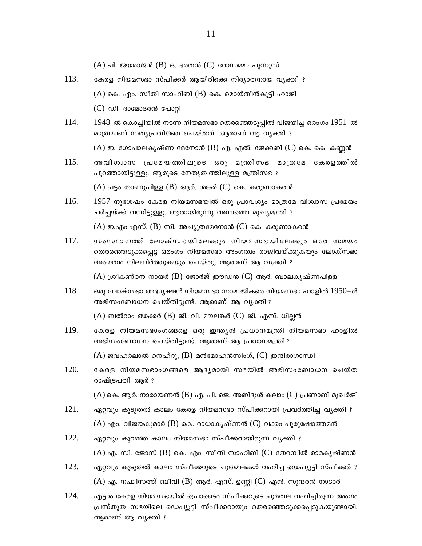- $(A)$  പി. ജയരാജൻ  $(B)$  ഒ. ഭരതൻ  $(C)$  റോസമ്മാ പുന്നുസ്
- 113. കേരള നിയമസഭാ സ്പീക്കർ ആയിരിക്കെ നിര്യാതനായ വ്യക്തി ?  $(A)$  കെ. എം. സീതി സാഹിബ്  $(B)$  കെ. മൊയ്തീൻകുട്ടി ഹാജി  $(C)$  ഡി. ദാമോദരൻ പോറ്റി
- 114.  $1948$ -ൽ കൊച്ചിയിൽ നടന്ന നിയമസഭാ തെരഞ്ഞെടുപ്പിൽ വിജയിച്ച ഒരംഗം  $1951$ -ൽ മാത്രമാണ് സത്യപ്രതിജ്ഞ ചെയ്തത്. ആരാണ് ആ വൃക്തി ?  $(A)$  ഇ. ഗോപാലകൃഷ്ണ മേനോൻ (B) എ. എൽ. ജേക്കബ് (C) കെ. കെ. കണ്ണൻ
- 115. അവിശ്വാസ പ്രമേയത്തിലൂടെ ഒരു മന്ത്രിസഭ മാത്രമേ കേരളത്തിൽ പുറത്തായിട്ടുള്ളൂ. ആരുടെ നേതൃത്വത്തിലുള്ള മന്ത്രിസഭ ?  $(A)$  പട്ടം താണുപിള്ള  $(B)$  ആർ. ശങ്കർ  $(C)$  കെ. കരുണാകരൻ
- 116. 1957-നുശേഷം കേരള നിയമസഭയിൽ ഒരു പ്രാവശ്യം മാത്രമേ വിശ്വാസ പ്രമേയം ചർച്ചയ്ക്ക് വന്നിട്ടുള്ളു. ആരായിരുന്നു അന്നത്തെ മുഖ്യമന്ത്രി ?

 $(A)$  ഇ.എം.എസ്.  $(B)$  സി. അച്യുതമേനോൻ  $(C)$  കെ. കരുണാകരൻ

117. സംസ്ഥാനത്ത് ലോക്സഭയിലേക്കും നിയമസഭയിലേക്കും ഒരേ സമയം തെരഞ്ഞെടുക്കപ്പെട്ട ഒരംഗം നിയമസഭാ അംഗത്വം രാജിവയ്ക്കുകയും ലോക്സഭാ അംഗത്വം നിലനിർത്തുകയും ചെയ്തു. ആരാണ് ആ വ്യക്തി ?

 $(A)$  ശ്രീകണ്ഠൻ നായർ (B) ജോർജ് ഈഡൻ (C) ആർ. ബാലകൃഷ്ണപിള്ള

118. ഒരു ലോക്സഭാ അദ്ധ്യക്ഷൻ നിയമസഭാ സാമാജികരെ നിയമസഭാ ഹാളിൽ 1950-ൽ അഭിസംബോധന ചെയ്തിട്ടുണ്ട്. ആരാണ് ആ വ്യക്തി ?

 $(A)$  ബൽറാം ഝക്കർ  $(B)$  ജി. വി. മൗലങ്കർ  $(C)$  ജി. എസ്. ധില്ലൻ

- 119. കേരള നിയമസഭാംഗങ്ങളെ ഒരു ഇന്ത്യൻ പ്രധാനമന്ത്രി നിയമസഭാ ഹാളിൽ അഭിസംബോധന ചെയ്തിട്ടുണ്ട്. ആരാണ് ആ പ്രധാനമന്ത്രി ?  $(A)$  ജവഹർലാൽ നെഹ്റു,  $(B)$  മൻമോഹൻസിംഗ്,  $(C)$  ഇന്ദിരാഗാന്ധി
- $120.$ കേരള നിയമസഭാംഗങ്ങളെ ആദ്യമായി സഭയിൽ അഭിസംബോധന ചെയ്ത രാഷ്ട്രപതി ആര് ?

 $(A)$  കെ. ആർ. നാരായണൻ  $(B)$  എ. പി. ജെ. അബ്ദുൾ കലാം  $(C)$  പ്രണാബ് മുഖർജി

- 121. ഏറ്റവും കുടുതൽ കാലം കേരള നിയമസഭാ സ്പീക്കറായി പ്രവർത്തിച്ച വൃക്തി ?  $(A)$  എം. വിജയകുമാർ (B) കെ. രാധാകൃഷ്ണൻ (C) വക്കം പുരുഷോത്തമൻ
- 122. ഏറ്റവും കുറഞ്ഞ കാലം നിയമസഭാ സ്പീക്കറായിരുന്ന വ്യക്തി ?  $(A)$  എ. സി. ജോസ്  $(B)$  കെ. എം. സീതി സാഹിബ്  $(C)$  തേറമ്പിൽ രാമകൃഷ്ണൻ
- 123. ഏറ്റവും കൂടുതൽ കാലം സ്പീക്കറുടെ ചുതമലകൾ വഹിച്ച ഡെപ്യൂട്ടി സ്പീക്കർ ?  $(A)$  എ. നഫീസത്ത് ബീവി  $(B)$  ആർ. എസ്. ഉണ്ണി  $(C)$  എൻ. സുന്ദരൻ നാടാർ
- 124. എട്ടാം കേരള നിയമസഭയിൽ പ്രൊടൈം സ്പീക്കറുടെ ചുമതല വഹിച്ചിരുന്ന അംഗം പ്രസ്തുത സഭയിലെ ഡെപ്യൂട്ടി സ്പീക്കറായും തെരഞ്ഞെടുക്കപ്പെടുകയുണ്ടായി. ആരാണ് ആ വ്യക്തി ?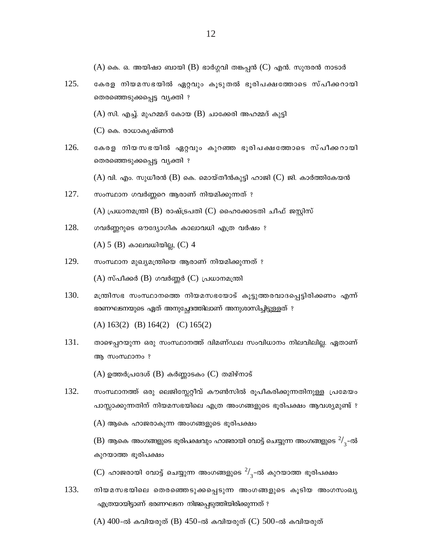(A) കെ. ഒ. അയിഷാ ബായി (B) ഭാർഗ്ഗവി തങ്കപ്പൻ (C) എൻ. സുന്ദരൻ നാടാർ

- $125.$  ഭകരള നിയമസഭയിൽ ഏറ്റവും കൂടുതൽ ഭൂരിപക്ഷത്തോടെ സ്പീക്കറായി തെരഞ്ഞെടുക്കപ്പെട്ട വൃക്തി ?
	- $(A)$  സി. എച്ച്. മുഹമ്മദ് കോയ  $(B)$  ചാക്കേരി അഹമ്മദ് കുട്ടി
	- $(C)$  കെ. രാധാകൃഷ്ണൻ
- $126.$  ഭകരള നിയസഭയിൽ ഏറ്റവും കുറഞ്ഞ ഭൂരിപക്ഷത്തോടെ സ്പീക്കറായി തെരഞ്ഞെടുക്കപ്പെട്ട വൃക്തി ?
	- $(A)$  വി. എം. സുധീരൻ  $(B)$  കെ. മൊയ്തീൻകുട്ടി ഹാജി  $(C)$  ജി. കാർത്തികേയൻ
- $127.$  സംസ്ഥാന ഗവർണ്ണറെ ആരാണ് നിയമിക്കുന്നത് ?  $(A)$  പ്രധാനമന്ത്രി  $(B)$  രാഷ്ട്രപതി  $(C)$  ഹൈക്കോടതി ചീഫ് ജസ്റ്റിസ്
- $128.$  ഗവർണ്ണറുടെ ഔദ്യോഗിക കാലാവധി എത്ര വർഷം ?  $(A)$  5  $(B)$  കാലവധിയില്ല,  $(C)$  4
- $129.$  സംസ്ഥാന മുഖ്യമന്ത്രിയെ ആരാണ് നിയമിക്കുന്നത് ?  $(A)$  സ്പീക്കർ  $(B)$  ഗവർണ്ണർ  $(C)$  പ്രധാനമന്ത്രി
- 130. മന്ത്രിസഭ സംസ്ഥാനത്തെ നിയമസഭയോട് കൂട്ടുത്തരവാദപ്പെട്ടിരിക്കണം എന്ന് ഭരണഘടനയുടെ ഏത് അനുച്ചേദത്തിലാണ് അനുശാസിച്ചിട്ടുള്ളത് ?

(A) 163(2) (B) 164(2) (C) 165(2)

 $131.$  താഴെപ്പറയുന്ന ഒരു സംസ്ഥാനത്ത് ദ്വിമണ്ഡല സംവിധാനം നിലവിലില്ല. ഏതാണ് ആ സംസ്ഥാനം ?

 $(A)$  ഉത്തർപ്രദേശ്  $(B)$  കർണ്ണാടകം  $(C)$  തമിഴ്നാട്

 $132.$  സംസ്ഥാനത്ത് ഒരു ലെജിസ്റ്റേറ്റീവ് കൗൺസിൽ രുപീകരിക്കുന്നതിനുള്ള പ്രമേയം പാസ്സാക്കുന്നതിന് നിയമസഭയിലെ എത്ര അംഗങ്ങളുടെ ഭൂരിപക്ഷം ആവശ്യമുണ്ട് ?  $(A)$  ആകെ ഹാജരാകുന്ന അംഗങ്ങളുടെ ഭൂരിപക്ഷം

 $\bf{(B)}$  ആകെ അംഗങ്ങളുടെ ഭൂരിപക്ഷവും ഹാജരായി വോട്ട് ചെയ്യുന്ന അംഗങ്ങളുടെ  $^2\!/_3^-$ -ൽ കുറയാത്ത ഭൂരിപക്ഷം

 $(\mathbf C)$  ഹാജരായി വോട്ട് ചെയ്യുന്ന അംഗങ്ങളുടെ  $^2\!/_3^-$ ൽ കുറയാത്ത ഭൂരിപക്ഷം

 $133. \quad$  നിയമസഭയിലെ തെരഞ്ഞെടുക്കപ്പെടുന്ന അംഗങ്ങളുടെ കുടിയ അംഗസംഖൃ  $\sim$ എത്രയായിട്ടാണ് ഭരണഘടന നിജപ്പെടുത്തിയിരിക്കുന്നത് ?

(A)  $400$ -ൽ കവിയരുത് (B)  $450$ -ൽ കവിയരുത് (C)  $500$ -ൽ കവിയരുത്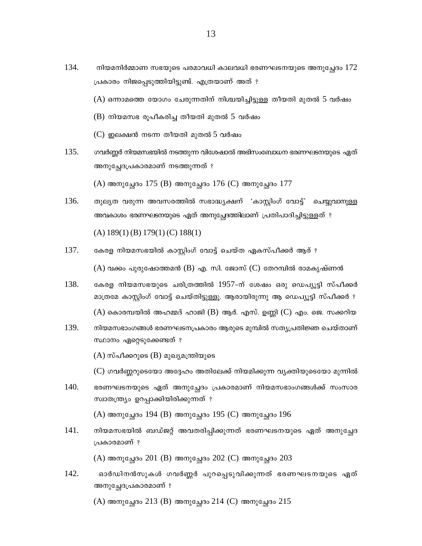- 134. നിയമനിർമ്മാണ സഭയുടെ പരമാവധി കാലവധി ഭരണഘടനയുടെ അനുച്ഛേദം  $172$ പ്രകാരം നിജപ്പെടുത്തിയിട്ടുണ്ട്. എത്രയാണ് അത് ?
	- (A) ഒന്നാമത്തെ യോഗം ചേരുന്നതിന് നിശ്ചയിച്ചിട്ടുള്ള തീയതി മുതൽ 5 വർഷം
	- $(B)$  നിയമസഭ രൂപീകരിച്ച തീയതി മുതൽ 5 വർഷം
	- $(C)$  ഇലക്ഷൻ നടന്ന തീയതി മുതൽ 5 വർഷം
- 135. ഗവർണ്ണർ നിയമസഭയിൽ നടത്തുന്ന വിശേഷാൽ അഭിസംബോധന ഭരണഘടനയുടെ ഏത് അനുച്ചേദപ്രകാരമാണ് നടത്തുന്നത് ?

(A) അനുച്ചേദം 175 (B) അനുച്ചേദം 176 (C) അനുച്ചേദം 177

- 136. തുല്യത വരുന്ന അവസരത്തിൽ സഭാദ്ധ്യക്ഷന് 'കാസ്ലിംഗ് വോട്ട്' ചെയ്യവാനുള്ള അവകാശം ഭരണഘടനയുടെ ഏത് അനുച്ചോത്തിലാണ് പ്രതിപാദിച്ചിട്ടുള്ളത് ?  $(A) 189(1) (B) 179(1) (C) 188(1)$
- 137. കേരള നിയമസഭയിൽ കാസ്കിംഗ് വോട്ട് ചെയ്ത ഏകസ്പീക്കർ ആര് ?  $(A)$  വക്കം പുരുഷോത്തമൻ (B) എ. സി. ജോസ് (C) തേറമ്പിൽ രാമകൃഷ്ണൻ
- 138. കേരള നിയമസഭയുടെ ചരിത്രത്തിൽ 1957-ന് ശേഷം ഒരു ഡെപ്യൂട്ടി സ്പീക്കർ മാത്രമേ കാസ്റ്റിംഗ് വോട്ട് ചെയ്തിട്ടുള്ളൂ. ആരായിരുന്നു ആ ഡെപ്യൂട്ടി സ്പീക്കർ ?  $(A)$  കൊരമ്പയിൽ അഹമ്മദ് ഹാജി  $(B)$  ആർ. എസ്. ഉണ്ണി  $(C)$  എം. ജെ. സക്കറിയ
- 139. നിയമസഭാംഗങ്ങൾ ഭരണഘടനപ്രകാരം ആരുടെ മുമ്പിൽ സത്യപ്രതിജ്ഞ ചെയ്താണ് സ്ഥാനം ഏറ്റെടുക്കേണ്ടത് ?

 $(A)$  സ്പീക്കറുടെ  $(B)$  മുഖ്യമന്ത്രിയുടെ

(C) ഗവർണ്ണറുടെയോ അദ്ദേഹം അതിലേക്ക് നിയമിക്കുന്ന വ്യക്തിയുടെയോ മുന്നിൽ

 $140.$ ഭരണഘടനയുടെ ഏത് അനുച്ചേദം പ്രകാരമാണ് നിയമസഭാംഗങ്ങൾക്ക് സംസാര സ്വാതന്ത്ര്യം ഉറപ്പാക്കിയിരിക്കുന്നത് ?

 $(A)$  അനുച്ഛേദം 194 (B) അനുച്ഛേദം 195 (C) അനുച്ഛേദം 196

 $141.$ നിയമസഭയിൽ ബഡ്ജറ്റ് അവതരിപ്പിക്കുന്നത് ഭരണഘടനയുടെ ഏത് അനുച്ചേദ പ്രകാരമാണ് ?

 $(A)$  അനുച്ഛേദം 201 (B) അനുച്ഛേദം 202 (C) അനുച്ഛേദം 203

142. ഓർഡിനൻസുകൾ ഗവർണ്ണർ പുറപ്പെടുവിക്കുന്നത് ഭരണഘടനയുടെ ഏത് അനുച്ഛേദപ്രകാരമാണ് ?

 $(A)$  അനുച്ഛേദം 213 (B) അനുച്ഛേദം 214 (C) അനുച്ഛേദം 215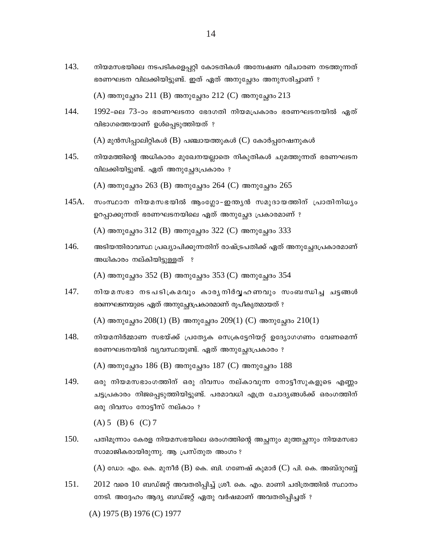- $143. \quad$  നിയമസഭയിലെ നടപടികളെപ്പറ്റി കോടതികൾ അന്വേഷണ വിചാരണ നടത്തുന്നത് ഭരണഘടന വിലക്കിയിട്ടുണ്ട്. ഇത് ഏത് അനുച്ചേദം അനുസരിച്ചാണ് ?  $(A)$  അനുച്ചേദം 211 (B) അനുച്ചേദം 212 (C) അനുച്ചേദം 213
- 144. 1992-ലെ 73-ാം ഭരണഘടനാ ഭേദഗതി നിയമപ്രകാരം ഭരണഘടനയിൽ ഏത് വിഭാഗത്തെയാണ് ഉൾപ്പെടുത്തിയത് ?  $(A)$  മുൻസിപ്പാലിറ്റികൾ  $(B)$  പഞ്ചായത്തുകൾ  $(C)$  കോർപ്പറേഷനുകൾ
- $145. \quad$  നിയമത്തിന്റെ അധികാരം മുഖേനയല്ലാതെ നികുതികൾ ചുമത്തുന്നത് ഭരണഘടന വിലക്കിയിട്ടുണ്ട്. ഏത് അനുച്ചേദപ്രകാരം ?

 $(A)$  അനുച്ചേദം 263 (B) അനുച്ചേദം 264 (C) അനുച്ചേദം 265

- 145A. സംസ്ഥാന നിയമസഭയിൽ ആംഗ്ലോ-ഇന്ത്യൻ സമുദായത്തിന് പ്രാതിനിധ്യം ഉറപ്പാക്കുന്നത് ഭരണഘടനയിലെ ഏത് അനുച്ചേദ പ്രകാരമാണ് ?  $(A)$  അനുച്ഛേദം 312 (B) അനുച്ഛേദം 322 (C) അനുച്ഛേദം 333
- 146. അടിയന്തിരാവസ്ഥ പ്രഖ്യാപിക്കുന്നതിന് രാഷ്ട്രപതിക്ക് ഏത് അനുച്ചേദപ്രകാരമാണ് അധികാരം നല്കിയിട്ടുള്ളത് ?

 $(A)$  അനുച്ചേദം 352 (B) അനുച്ചേദം 353 (C) അനുച്ചേദം 354

 $147. \quad$  നിയമസഭാ നടപടിക്രമവും കാരൃനിർവ്വഹണവും സംബന്ധിച്ച ചട്ടങ്ങൾ ഭരണഘടനയുടെ ഏത് അനുച്ചേദപ്രകാരമാണ് രൂപീകൃതമായത് ?

 $(A)$  അനുച്ചേദം 208(1) (B) അനുച്ചേദം 209(1) (C) അനുച്ചേദം 210(1)

- $148.$  നിയമനിർമ്മാണ സഭയ്ക്ക് പ്രത്യേക സെക്രട്ടേറിയറ്റ് ഉദ്യോഗഗണം വേണമെന്ന് ഭരണഘടനയിൽ വ്യവസ്ഥയുണ്ട്. ഏത് അനുച്ചേദപ്രകാരം ?  $(A)$  അനുച്ഛേദം  $186$  (B) അനുച്ഛേദം  $187$  (C) അനുച്ഛേദം  $188$
- $149.$  ഒരു നിയമസഭാംഗത്തിന് ഒരു ദിവസം നല്കാവുന്ന നോട്ടീസുകളുടെ എണ്ണം ചട്ടപ്രകാരം നിജപ്പെടുത്തിയിട്ടുണ്ട്. പരമാവധി എത്ര ചോദ്യങ്ങൾക്ക് ഒരംഗത്തിന് ഒരു ദിവസം നോട്ടീസ് നല്കാം ?

 $(A) 5 (B) 6 (C) 7$ 

 $150.$  പതിമൂന്നാം കേരള നിയമസഭയിലെ ഒരംഗത്തിന്റെ അച്ഛനും മുത്തച്ഛനും നിയമസഭാ സാമാജികരായിരുന്നു. ആ പ്രസ്തുത അംഗം ?

 $(A)$  ഡോ: എം. കെ. മുനീർ  $(B)$  കെ. ബി. ഗണേഷ് കുമാർ (C) പി. കെ. അബ്ദുറബ്ബ്

 $151.$   $2012$  വരെ  $10$  ബഡ്ജറ്റ് അവതരിപ്പിച്ച് ശ്രീ. കെ. എം. മാണി ചരിത്രത്തിൽ സ്ഥാനം നേടി. അദ്ദേഹം ആദ്യ ബഡ്ജറ്റ് ഏതു വർഷമാണ് അവതരിപ്പിച്ചത് ?

(A) 1975 (B) 1976 (C) 1977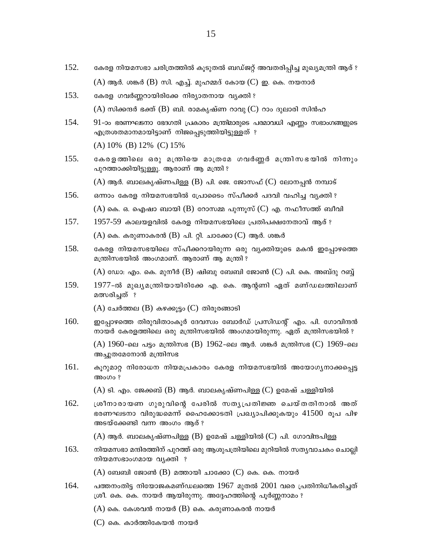- $152.$  ഭകരള നിയമസഭാ ചരിത്രത്തിൽ കൂടുതൽ ബഡ്ജറ്റ് അവതരിപ്പിച്ച മുഖ്യമന്ത്രി ആര് ?  $(A)$  ആർ. ശങ്കർ  $(B)$  സി. എച്ച്. മുഹമ്മദ് കോയ $(C)$  ഇ. കെ. നയനാർ
- $153.$  ഭകരള ഗവർണ്ണറായിരിക്കേ നിര്യാതനായ വ്യക്തി ?  $(A)$  സിക്കന്ദർ ഭക്ത് (B) ബി. രാമകൃഷ്ണ റാവു $(C)$  റാം ദുലാരി സിൻഹ
- $154.$  91-ാം ഭരണഘടനാ ഭേദഗതി പ്രകാരം മന്ത്രിമാരുടെ പരമാവധി എണ്ണം സഭാംഗങ്ങളുടെ എത്രശതമാനമായിട്ടാണ് നിജപ്പെടുത്തിയിട്ടുള്ളത് ?

(A) 10% (B) 12% (C) 15%

155. കേരളത്തിലെ ഒരു മന്ത്രിയെ മാത്രമേ ഗവർണ്ണർ മന്ത്രിസഭയിൽ നിന്നും പുറത്താക്കിയിട്ടുള്ളു. ആരാണ് ആ മന്ത്രി ?

 $(A)$  ആർ. ബാലകൃഷ്ണപിള്ള  $(B)$  പി. ജെ. ജോസഫ് ( $C$ ) ലോനപ്പൻ നമ്പാട്

- $156.$  ഒന്നാം കേരള നിയമസഭയിൽ പ്രോടൈം സ്പീക്കർ പദവി വഹിച്ച വൃക്തി ? (A) കെ. ഒ. ഐഷാ ബായി (B) റോസമ്മ പുന്നുസ് (C) എ. നഫീസത്ത് ബീവി
- $157.$  1957-59 കാലയളവിൽ കേരള നിയമസഭയിലെ പ്രതിപക്ഷനേതാവ് ആര് ?  $(A)$  കെ. കരുണാകരൻ  $(B)$  പി. റ്റി. ചാക്കോ  $(C)$  ആർ. ശങ്കർ
- 158. ഭകരള നിയമസഭയിലെ സ്പീക്കറായിരുന്ന ഒരു വൃക്തിയുടെ മകൻ ഇപ്പോഴത്തെ മന്ത്രിസഭയിൽ അംഗമാണ്. ആരാണ് ആ മന്ത്രി ?

 $(A)$  ഡോ: എം. കെ. മുനീർ  $(B)$  ഷിബു ബേബി ജോൺ (C) പി. കെ. അബ്ദു റബ്ബ്

 $159.$   $1977$ -ൽ മുഖ്യമന്ത്രിയായിരിക്കേ എ. കെ. ആൻണി ഏത് മണ്ഡലത്തിലാണ് മത്സരിച്ചത് ?

 $(A)$  ചേർത്തല  $(B)$  കഴക്കൂട്ടം  $(C)$  തിരൂരങ്ങാടി

- $160.$  © ഇപ്പോഴത്തെ തിരുവിതാംകൂർ ദേവസ്വം ബോർഡ് പ്രസിഡന്റ് എം. പി. ഗോവിന്ദൻ  $\mathfrak m$ ായർ കേരളത്തിലെ ഒരു മന്ത്രിസഭയിൽ അംഗമായിരുന്നു. ഏത് മന്ത്രിസഭയിൽ ?  $(A)$  1960-ലെ പട്ടം മന്ത്രിസഭ  $(B)$  1962-ലെ ആർ. ശങ്കർ മന്ത്രിസഭ (C) 1969-ലെ അചുതമേനോൻ മന്ത്രിസ<u>ഭ</u>
- $161.$  മുറുമാറ്റ നിരോധന നിയമപ്രകാരം കേരള നിയമസഭയിൽ അയോഗ്യനാക്കപ്പെട്ട അംഗം ?

(A) ടി. എം. ജേക്കബ് (B) ആർ. ബാലകൃഷ്ണപിള്ള (C) ഉമേഷ് ചള്ളിയിൽ

 $162.$  (ശീനാരായണ ഗുരുവിന്റെ പേരിൽ സതൃപ്രതിജ്ഞ ചെയ്തതിനാൽ അത് ഭരണഘടനാ വിരുദ്ധമെന്ന് ഹൈക്കോടതി പ്രഖ്യാപിക്കുകയും  $41500$  രൂപ പിഴ അടയ്ക്കേണ്ടി വന്ന അംഗം ആര് ?

 $(A)$  ആർ. ബാലകൃഷ്ണപിള്ള  $(B)$  ഉമേഷ് ചള്ളിയിൽ ( $C$ ) പി. ഗോവിന്ദപിള്ള

 $163. \hspace{2em}$  നിയമസഭാ മന്ദിരത്തിന് പുറത്ത് ഒരു ആശുപത്രിയിലെ മുറിയിൽ സതൃവാചകം ചൊല്ലി നിയമസഭാംഗമായ വ്യക്തി ?

 $(A)$  ബേബി ജോൺ  $(B)$  മത്തായി ചാക്കോ  $(C)$  കെ. കെ. നായർ

 $164.$  പത്തനംതിട്ട നിയോജകമണ്ഡലത്തെ  $1967$  മുതൽ  $2001$  വരെ പ്രതിനിധീകരിച്ചത്  $[$ ശീ. കെ. കെ. നായർ ആയിരുന്നു. അദ്ദേഹത്തിന്റെ പൂർണ്ണനാമം ?

 $(A)$  കെ. കേശവൻ നായർ  $(B)$  കെ. കരുണാകരൻ നായർ

 $(C)$  കെ. കാർത്തികേയൻ നായർ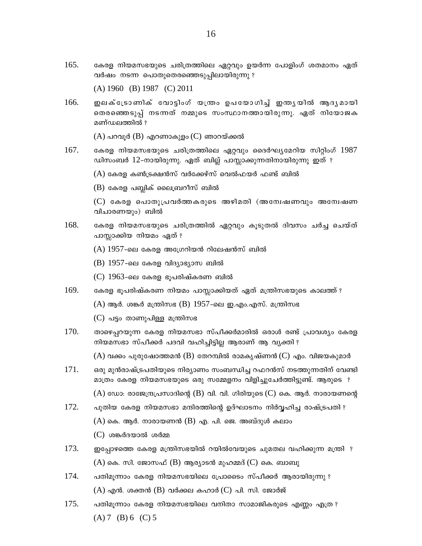165. കേരള നിയമസഭയുടെ ചരിത്രത്തിലെ ഏറ്റവും ഉയർന്ന പോളിംഗ് ശതമാനം ഏത് വർഷം നടന്ന പൊതുതെരഞ്ഞെടുപ്പിലായിരുന്നു ?

 $(A) 1960$  (B) 1987 (C) 2011

166. ഇലക്ട്രോണിക് വോട്ടിംഗ് യന്ത്രം ഉപയോഗിച്ച് ഇന്ത്യയിൽ ആദ്യമായി തെരഞ്ഞെടുപ്പ് നടന്നത് നമ്മുടെ സംസ്ഥാനത്തായിരുന്നു. ഏത് നിയോജക മണ്ഡലത്തിൽ ?

 $(A)$  പറവുർ  $(B)$  എറണാകുളം  $(C)$  ഞാറയ്ക്കൽ

167. കേരള നിയമസഭയുടെ ചരിത്രത്തിലെ ഏറ്റവും ദൈർഘ്യമേറിയ സിറ്റിംഗ് 1987 ഡിസംബർ 12-നായിരുന്നു. ഏത് ബില്ല് പാസ്ലാക്കുന്നതിനായിരുന്നു ഇത് ?

 $(A)$  കേരള കൺട്രക്ഷൻസ് വർക്കേഴ്സ് വെൽഫയർ ഫണ്ട് ബിൽ

 $(B)$  കേരള പബ്ലിക് ലൈബ്രറീസ് ബിൽ

(C) കേരള പൊതുപ്രവർത്തകരുടെ അഴിമതി (അന്വേഷണവും അന്വേഷണ വിചാരണയും) ബിൽ

- 168. കേരള നിയമസഭയുടെ ചരിത്രത്തിൽ ഏറ്റവും കൂടുതൽ ദിവസം ചർച്ച ചെയ്ത് പാസ്ലാക്കിയ നിയമം ഏത് ?
	- $(A)$  1957-ലെ കേരള അഗ്രേറിയൻ റിലേഷൻസ് ബിൽ
	- $(B)$  1957-ലെ കേരള വിദ്യാഭ്യാസ ബിൽ
	- $(C)$  1963-ലെ കേരള ഭൂപരിഷ്കരണ ബിൽ
- 169. കേരള ഭൂപരിഷ്കരണ നിയമം പാസ്സാക്കിയത് ഏത് മന്ത്രിസഭയുടെ കാലത്ത് ?
	- $(A)$  ആർ. ശങ്കർ മന്ത്രിസഭ  $(B)$  1957-ലെ ഇ.എം.എസ്. മന്ത്രിസഭ

 $(C)$  പട്ടം താണുപിള്ള മന്ത്രിസഭ

170. താഴെപ്പറയുന്ന കേരള നിയമസഭാ സ്പീക്കർമാരിൽ ഒരാൾ രണ്ട് പ്രാവശ്യം കേരള നിയമസഭാ സ്പീക്കർ പദവി വഹിച്ചിട്ടില്ല ആരാണ് ആ വ്യക്തി ?

 $(A)$  വക്കം പുരുഷോത്തമൻ (B) തേറമ്പിൽ രാമകൃഷ്ണൻ $(C)$  എം. വിജയകുമാർ

- 171. ഒരു മുൻരാഷ്ട്രപതിയുടെ നിര്യാണം സംബന്ധിച്ച റഫറൻസ് നടത്തുന്നതിന് വേണ്ടി മാത്രം കേരള നിയമസഭയുടെ ഒരു സമ്മേളനം വിളിച്ചുചേർത്തിട്ടുണ്ട്. ആരുടെ ?  $(A)$  ഡോ: രാജേന്ദ്രപ്രസാദിന്റെ ( $B$ ) വി. വി. ഗിരിയുടെ ( $C$ ) കെ. ആർ. നാരായണന്റെ
- 172. പുതിയ കേരള നിയമസഭാ മന്ദിരത്തിന്റെ ഉദ്ഘാടനം നിർവ്വഹിച്ച രാഷ്ട്രപതി ?  $(A)$  കെ. ആർ. നാരായണൻ  $(B)$  എ. പി. ജെ. അബ്ദുൾ കലാം (C) ശങ്കർദയാൽ ശർമ്മ
- 173. ഇപ്പോഴത്തെ കേരള മന്ത്രിസഭയിൽ റയിൽവേയുടെ ചുമതല വഹിക്കുന്ന മന്ത്രി ?  $(A)$  കെ. സി. ജോസഫ്  $(B)$  ആര്യാടൻ മുഹമ്മദ് (C) കെ. ബാബു
- 174. പതിമൂന്നാം കേരള നിയമസഭയിലെ പ്രോടൈം സ്പീക്കർ ആരായിരുന്നു ?  $(A)$  എൻ. ശക്തൻ  $(B)$  വർക്കല കഹാർ $(C)$  പി. സി. ജോർജ്
- 175. പതിമുന്നാം കേരള നിയമസഭയിലെ വനിതാ സാമാജികരുടെ എണ്ണം എത്ര ?  $(A) 7$  (B) 6 (C) 5